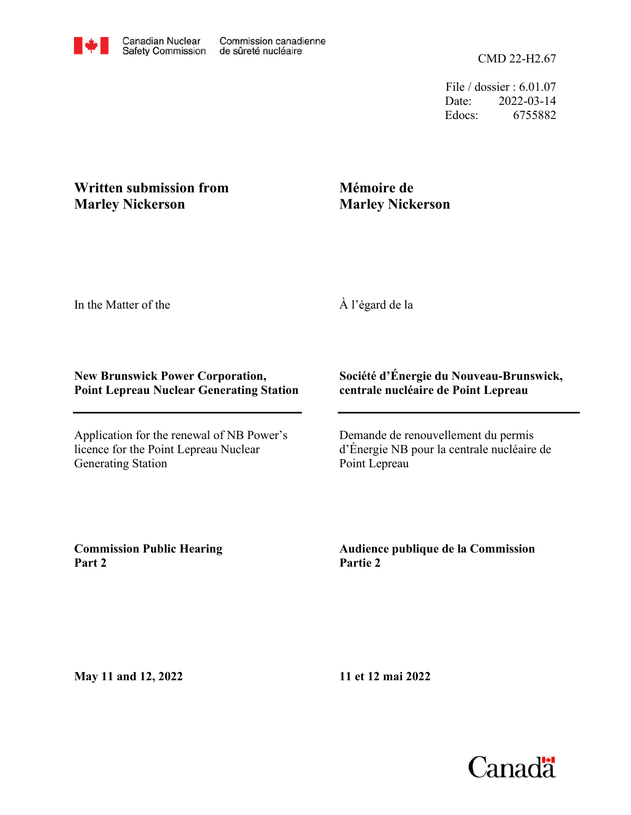CMD 22-H2.67

File / dossier : 6.01.07 Date: 2022-03-14 Edocs: 6755882

## **Written submission from Marley Nickerson**

## **Mémoire de Marley Nickerson**

In the Matter of the

À l'égard de la

## **New Brunswick Power Corporation, Point Lepreau Nuclear Generating Station**

Application for the renewal of NB Power's licence for the Point Lepreau Nuclear Generating Station

## **Société d'Énergie du Nouveau-Brunswick, centrale nucléaire de Point Lepreau**

Demande de renouvellement du permis d'Énergie NB pour la centrale nucléaire de Point Lepreau

**Commission Public Hearing Part 2**

**Audience publique de la Commission Partie 2**

**May 11 and 12, 2022**

**11 et 12 mai 2022**